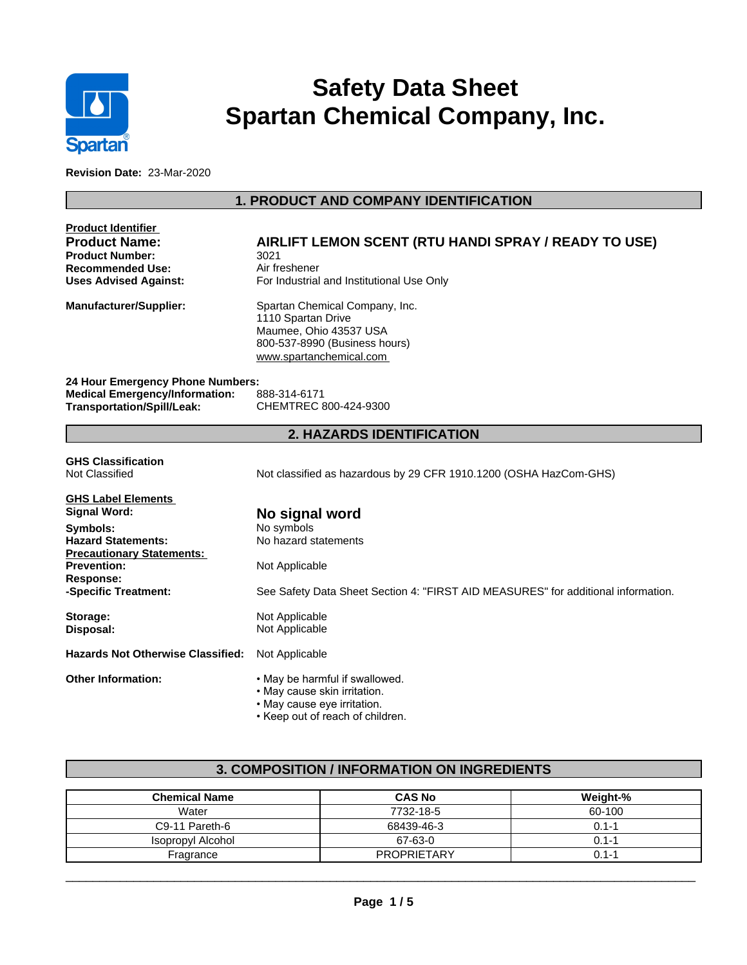

# **Safety Data Sheet Spartan Chemical Company, Inc.**

**Revision Date:** 23-Mar-2020

# **1. PRODUCT AND COMPANY IDENTIFICATION**

| Product Identifier                       |                                                                                   |
|------------------------------------------|-----------------------------------------------------------------------------------|
| <b>Product Name:</b>                     | AIRLIFT LEMON SCENT (RTU HANDI SPRAY / READY TO USE)                              |
| <b>Product Number:</b>                   | 3021                                                                              |
| <b>Recommended Use:</b>                  | Air freshener                                                                     |
| <b>Uses Advised Against:</b>             | For Industrial and Institutional Use Only                                         |
| Manufacturer/Supplier:                   | Spartan Chemical Company, Inc.                                                    |
|                                          | 1110 Spartan Drive                                                                |
|                                          | Maumee, Ohio 43537 USA                                                            |
|                                          | 800-537-8990 (Business hours)                                                     |
|                                          | www.spartanchemical.com                                                           |
| 24 Hour Emergency Phone Numbers:         |                                                                                   |
| <b>Medical Emergency/Information:</b>    | 888-314-6171                                                                      |
| <b>Transportation/Spill/Leak:</b>        | CHEMTREC 800-424-9300                                                             |
|                                          | <b>2. HAZARDS IDENTIFICATION</b>                                                  |
|                                          |                                                                                   |
| <b>GHS Classification</b>                |                                                                                   |
| Not Classified                           | Not classified as hazardous by 29 CFR 1910.1200 (OSHA HazCom-GHS)                 |
| <b>GHS Label Elements</b>                |                                                                                   |
| Signal Word:                             | No signal word                                                                    |
| Symbols:                                 | No symbols                                                                        |
| <b>Hazard Statements:</b>                | No hazard statements                                                              |
| <b>Precautionary Statements:</b>         |                                                                                   |
| <b>Prevention:</b>                       | Not Applicable                                                                    |
| <b>Response:</b>                         |                                                                                   |
| -Specific Treatment:                     | See Safety Data Sheet Section 4: "FIRST AID MEASURES" for additional information. |
| Storage:                                 | Not Applicable                                                                    |
| Disposal:                                | Not Applicable                                                                    |
| <b>Hazards Not Otherwise Classified:</b> | Not Applicable                                                                    |
| <b>Other Information:</b>                | . May be harmful if swallowed.                                                    |
|                                          | • May cause skin irritation.                                                      |
|                                          | • May cause eye irritation.                                                       |
|                                          | • Keep out of reach of children.                                                  |

# **3. COMPOSITION / INFORMATION ON INGREDIENTS**

| <b>Chemical Name</b> | <b>CAS No</b>      | Weight-% |
|----------------------|--------------------|----------|
| Water                | 7732-18-5          | 60-100   |
| C9-11 Pareth-6       | 68439-46-3         | 0.1-1    |
| Isopropyl Alcohol    | 67-63-0            | 0.1-1    |
| Fragrance            | <b>PROPRIETARY</b> | 0.1-1    |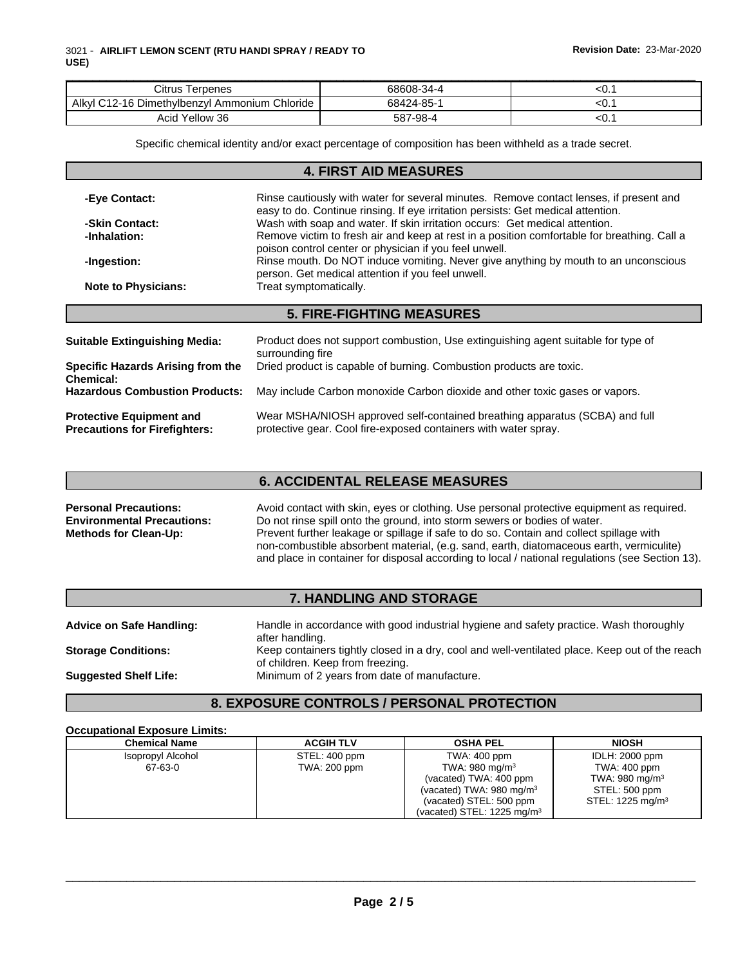| Citrus<br>erpenes                                         | 68608-34-4 | w. |
|-----------------------------------------------------------|------------|----|
| Alkyl<br>Chloride<br>Ammonium<br>. )-1F<br>Dimethylbenzyl | 68424-85-  | w. |
| Yellow<br>36<br>Acıd                                      | 587-98-4   | ∼. |

Specific chemical identity and/or exact percentage of composition has been withheld as a trade secret.

| <b>4. FIRST AID MEASURES</b>                                            |                                                                                                                                                                            |  |  |  |
|-------------------------------------------------------------------------|----------------------------------------------------------------------------------------------------------------------------------------------------------------------------|--|--|--|
| -Eye Contact:                                                           | Rinse cautiously with water for several minutes. Remove contact lenses, if present and<br>easy to do. Continue rinsing. If eye irritation persists: Get medical attention. |  |  |  |
| -Skin Contact:                                                          | Wash with soap and water. If skin irritation occurs: Get medical attention.                                                                                                |  |  |  |
| -Inhalation:                                                            | Remove victim to fresh air and keep at rest in a position comfortable for breathing. Call a<br>poison control center or physician if you feel unwell.                      |  |  |  |
| -Ingestion:                                                             | Rinse mouth. Do NOT induce vomiting. Never give anything by mouth to an unconscious<br>person. Get medical attention if you feel unwell.                                   |  |  |  |
| <b>Note to Physicians:</b>                                              | Treat symptomatically.                                                                                                                                                     |  |  |  |
|                                                                         | <b>5. FIRE-FIGHTING MEASURES</b>                                                                                                                                           |  |  |  |
| Suitable Extinguishing Media:                                           | Product does not support combustion, Use extinguishing agent suitable for type of<br>surrounding fire                                                                      |  |  |  |
| <b>Specific Hazards Arising from the</b><br>Chemical:                   | Dried product is capable of burning. Combustion products are toxic.                                                                                                        |  |  |  |
| <b>Hazardous Combustion Products:</b>                                   | May include Carbon monoxide Carbon dioxide and other toxic gases or vapors.                                                                                                |  |  |  |
| <b>Protective Equipment and</b><br><b>Precautions for Firefighters:</b> | Wear MSHA/NIOSH approved self-contained breathing apparatus (SCBA) and full<br>protective gear. Cool fire-exposed containers with water spray.                             |  |  |  |

## **6. ACCIDENTAL RELEASE MEASURES**

**Personal Precautions:** Avoid contact with skin, eyes or clothing. Use personal protective equipment as required. **Environmental Precautions:** Do not rinse spill onto the ground, into storm sewers or bodies of water. **Methods for Clean-Up:** Prevent further leakage or spillage if safe to do so. Contain and collect spillage with non-combustible absorbent material, (e.g. sand, earth, diatomaceous earth, vermiculite) and place in container for disposal according to local / national regulations (see Section 13).

## **7. HANDLING AND STORAGE**

| <b>Advice on Safe Handling:</b> | Handle in accordance with good industrial hygiene and safety practice. Wash thoroughly<br>after handling.                          |
|---------------------------------|------------------------------------------------------------------------------------------------------------------------------------|
| <b>Storage Conditions:</b>      | Keep containers tightly closed in a dry, cool and well-ventilated place. Keep out of the reach<br>of children. Keep from freezing. |
| <b>Suggested Shelf Life:</b>    | Minimum of 2 years from date of manufacture.                                                                                       |

## **8. EXPOSURE CONTROLS / PERSONAL PROTECTION**

#### **Occupational Exposure Limits:**

| <b>Chemical Name</b> | <b>ACGIH TLV</b> | <b>OSHA PEL</b>                       | <b>NIOSH</b>                |
|----------------------|------------------|---------------------------------------|-----------------------------|
| Isopropyl Alcohol    | STEL: 400 ppm    | TWA: 400 ppm                          | IDLH: 2000 ppm              |
| 67-63-0              | TWA: 200 ppm     | TWA: 980 mg/m $3$                     | TWA: 400 ppm                |
|                      |                  | (vacated) TWA: 400 ppm                | TWA: 980 mg/m <sup>3</sup>  |
|                      |                  | (vacated) TWA: $980 \text{ mg/m}^3$   | STEL: 500 ppm               |
|                      |                  | (vacated) STEL: 500 ppm               | STEL: $1225 \text{ mg/m}^3$ |
|                      |                  | (vacated) STEL: $1225 \text{ mg/m}^3$ |                             |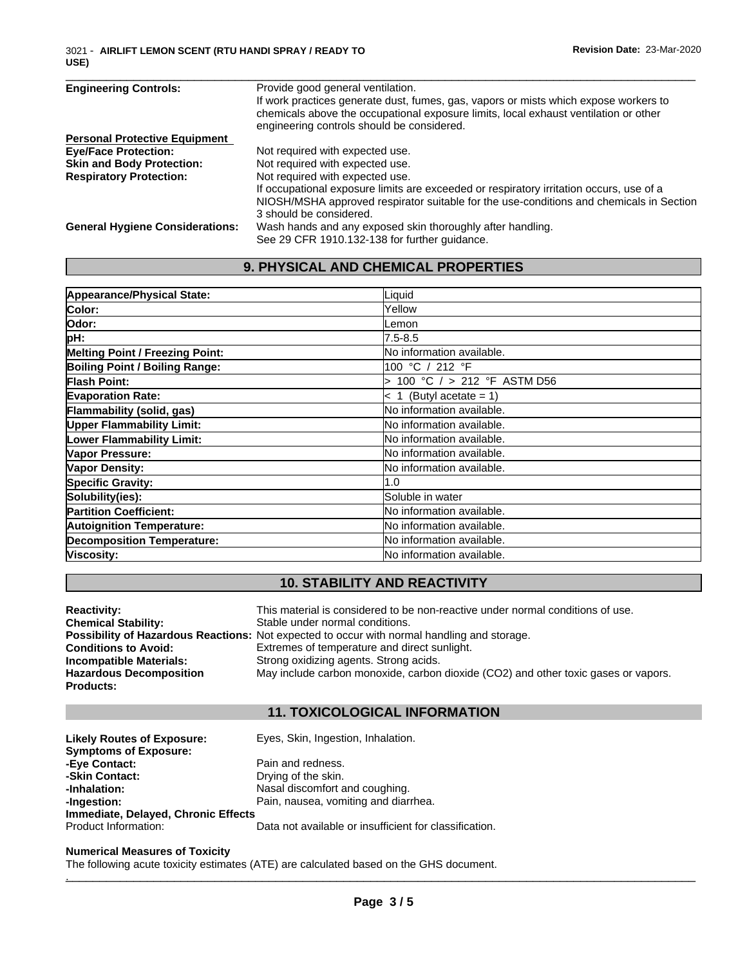| <b>Engineering Controls:</b>           | Provide good general ventilation.                                                       |
|----------------------------------------|-----------------------------------------------------------------------------------------|
|                                        | If work practices generate dust, fumes, gas, vapors or mists which expose workers to    |
|                                        | chemicals above the occupational exposure limits, local exhaust ventilation or other    |
|                                        | engineering controls should be considered.                                              |
| <b>Personal Protective Equipment</b>   |                                                                                         |
| <b>Eye/Face Protection:</b>            | Not required with expected use.                                                         |
| <b>Skin and Body Protection:</b>       | Not required with expected use.                                                         |
| <b>Respiratory Protection:</b>         | Not required with expected use.                                                         |
|                                        | If occupational exposure limits are exceeded or respiratory irritation occurs, use of a |
|                                        | NIOSH/MSHA approved respirator suitable for the use-conditions and chemicals in Section |
|                                        | 3 should be considered.                                                                 |
| <b>General Hygiene Considerations:</b> | Wash hands and any exposed skin thoroughly after handling.                              |
|                                        | See 29 CFR 1910.132-138 for further guidance.                                           |

# **9. PHYSICAL AND CHEMICAL PROPERTIES**

| Appearance/Physical State:             | Liquid                            |
|----------------------------------------|-----------------------------------|
| Color:                                 | Yellow                            |
| Odor:                                  | Lemon                             |
| pH:                                    | $7.5 - 8.5$                       |
| <b>Melting Point / Freezing Point:</b> | No information available.         |
| <b>Boiling Point / Boiling Range:</b>  | 100 °C / 212 °F                   |
| <b>Flash Point:</b>                    | 100 °C $/$ > 212 °F ASTM D56      |
| <b>Evaporation Rate:</b>               | $\leq 1$ (Butyl acetate = 1)      |
| Flammability (solid, gas)              | No information available.         |
| <b>Upper Flammability Limit:</b>       | <b>No information available.</b>  |
| <b>Lower Flammability Limit:</b>       | No information available.         |
| Vapor Pressure:                        | <b>No information available.</b>  |
| Vapor Density:                         | <b>No information available.</b>  |
| <b>Specific Gravity:</b>               | 1.0                               |
| Solubility(ies):                       | Soluble in water                  |
| <b>Partition Coefficient:</b>          | No information available.         |
| <b>Autoignition Temperature:</b>       | <b>INo information available.</b> |
| <b>Decomposition Temperature:</b>      | No information available.         |
| Viscosity:                             | <b>INo information available.</b> |

# **10. STABILITY AND REACTIVITY**

| <b>Reactivity:</b>             | This material is considered to be non-reactive under normal conditions of use.                     |
|--------------------------------|----------------------------------------------------------------------------------------------------|
| <b>Chemical Stability:</b>     | Stable under normal conditions.                                                                    |
|                                | <b>Possibility of Hazardous Reactions:</b> Not expected to occur with normal handling and storage. |
| <b>Conditions to Avoid:</b>    | Extremes of temperature and direct sunlight.                                                       |
| <b>Incompatible Materials:</b> | Strong oxidizing agents. Strong acids.                                                             |
| <b>Hazardous Decomposition</b> | May include carbon monoxide, carbon dioxide (CO2) and other toxic gases or vapors.                 |
| <b>Products:</b>               |                                                                                                    |

## **11. TOXICOLOGICAL INFORMATION**

| <b>Likely Routes of Exposure:</b>   | Eyes, Skin, Ingestion, Inhalation.                     |
|-------------------------------------|--------------------------------------------------------|
| <b>Symptoms of Exposure:</b>        |                                                        |
| -Eye Contact:                       | Pain and redness.                                      |
| -Skin Contact:                      | Drying of the skin.                                    |
| -Inhalation:                        | Nasal discomfort and coughing.                         |
| -Ingestion:                         | Pain, nausea, vomiting and diarrhea.                   |
| Immediate, Delayed, Chronic Effects |                                                        |
| Product Information:                | Data not available or insufficient for classification. |

#### **Numerical Measures of Toxicity**

The following acute toxicity estimates (ATE) are calculated based on the GHS document. .\_\_\_\_\_\_\_\_\_\_\_\_\_\_\_\_\_\_\_\_\_\_\_\_\_\_\_\_\_\_\_\_\_\_\_\_\_\_\_\_\_\_\_\_\_\_\_\_\_\_\_\_\_\_\_\_\_\_\_\_\_\_\_\_\_\_\_\_\_\_\_\_\_\_\_\_\_\_\_\_\_\_\_\_\_\_\_\_\_\_\_\_\_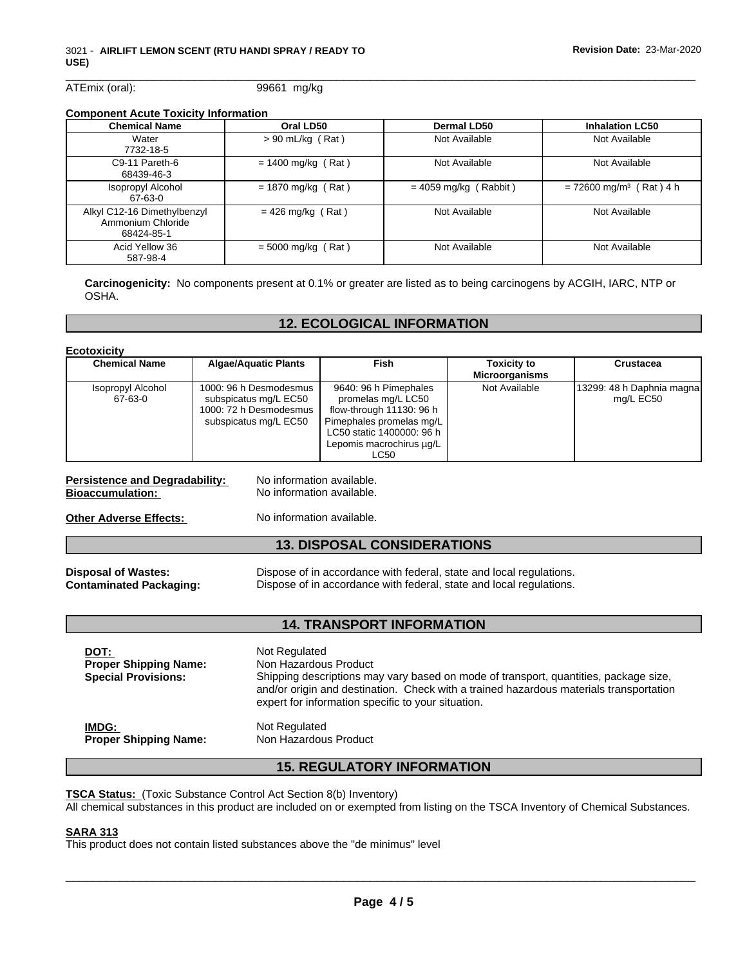ATEmix (oral): 99661 mg/kg

# **Component Acute Toxicity Information**

| <b>Chemical Name</b>        | Oral LD50            | <b>Dermal LD50</b>      | <b>Inhalation LC50</b>                |
|-----------------------------|----------------------|-------------------------|---------------------------------------|
| Water                       | $> 90$ mL/kg (Rat)   | Not Available           | Not Available                         |
| 7732-18-5                   |                      |                         |                                       |
| C9-11 Pareth-6              | $= 1400$ mg/kg (Rat) | Not Available           | Not Available                         |
| 68439-46-3                  |                      |                         |                                       |
| <b>Isopropyl Alcohol</b>    | $= 1870$ mg/kg (Rat) | $= 4059$ mg/kg (Rabbit) | $= 72600$ mg/m <sup>3</sup> (Rat) 4 h |
| 67-63-0                     |                      |                         |                                       |
| Alkyl C12-16 Dimethylbenzyl | $= 426$ mg/kg (Rat)  | Not Available           | Not Available                         |
| Ammonium Chloride           |                      |                         |                                       |
| 68424-85-1                  |                      |                         |                                       |
| Acid Yellow 36              | $= 5000$ mg/kg (Rat) | Not Available           | Not Available                         |
| 587-98-4                    |                      |                         |                                       |

**Carcinogenicity:** No components present at 0.1% or greater are listed as to being carcinogens by ACGIH, IARC, NTP or OSHA.

# **12. ECOLOGICAL INFORMATION**

| Ecotoxicity                  |                                                                                                    |                                                                                                                                                                      |                                             |                                        |
|------------------------------|----------------------------------------------------------------------------------------------------|----------------------------------------------------------------------------------------------------------------------------------------------------------------------|---------------------------------------------|----------------------------------------|
| <b>Chemical Name</b>         | <b>Algae/Aquatic Plants</b>                                                                        | Fish                                                                                                                                                                 | <b>Toxicity to</b><br><b>Microorganisms</b> | Crustacea                              |
| Isopropyl Alcohol<br>67-63-0 | 1000: 96 h Desmodesmus<br>subspicatus mg/L EC50<br>1000: 72 h Desmodesmus<br>subspicatus mg/L EC50 | 9640: 96 h Pimephales<br>promelas mg/L LC50<br>flow-through 11130: 96 h<br>Pimephales promelas mg/L<br>LC50 static 1400000: 96 h<br>Lepomis macrochirus µg/L<br>LC50 | Not Available                               | 13299: 48 h Daphnia magna<br>mg/L EC50 |

#### **Persistence and Degradability:** No information available.<br> **Bioaccumulation:** No information available. **Bioaccumulation:**

**Other Adverse Effects:** No information available.

## **13. DISPOSAL CONSIDERATIONS**

**Disposal of Wastes:** Dispose of in accordance with federal, state and local regulations. **Contaminated Packaging:** Dispose of in accordance with federal, state and local regulations.

## **14. TRANSPORT INFORMATION**

| DOT:<br><b>Proper Shipping Name:</b><br><b>Special Provisions:</b> | Not Regulated<br>Non Hazardous Product<br>Shipping descriptions may vary based on mode of transport, quantities, package size,<br>and/or origin and destination. Check with a trained hazardous materials transportation<br>expert for information specific to your situation. |
|--------------------------------------------------------------------|--------------------------------------------------------------------------------------------------------------------------------------------------------------------------------------------------------------------------------------------------------------------------------|
| IMDG:                                                              | Not Regulated                                                                                                                                                                                                                                                                  |
| <b>Proper Shipping Name:</b>                                       | Non Hazardous Product                                                                                                                                                                                                                                                          |

## **15. REGULATORY INFORMATION**

**TSCA Status:** (Toxic Substance Control Act Section 8(b) Inventory) All chemical substances in this product are included on or exempted from listing on the TSCA Inventory of Chemical Substances.

#### **SARA 313**

This product does not contain listed substances above the "de minimus" level